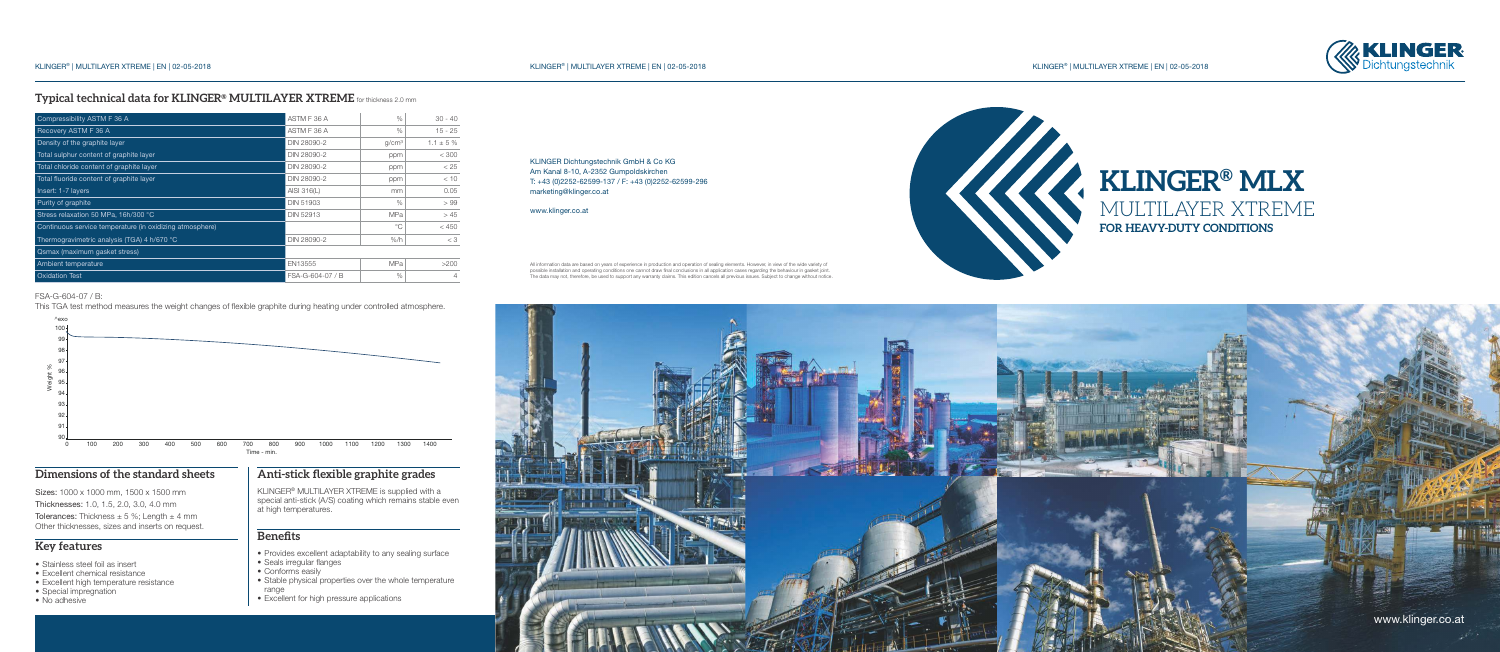# **Typical technical data for KLINGER<sup>®</sup> MULTILAYER XTREME** for thickness 2.0 mm

**KLINGER® MLX**

MULTILAYER XTREME

**FOR HEAVY-DUTY CONDITIONS**







All information data are based on years of experience in production and operation of sealing elements. However, in view of the wide variety of possible installation and operating conditions one cannot draw final conclusions in all application cases regarding the behaviour in gasket joint.<br>The data may not, therefore, be used to support any warranty claims. This e

KLINGER Dichtungstechnik GmbH & Co KG Am Kanal 8-10, A-2352 Gumpoldskirchen T: +43 (0)2252-62599-137 / F: +43 (0)2252-62599-296 marketing@klinger.co.at

www.klinger.co.at

# www.klinger.co.at



Tolerances: Thickness  $\pm$  5 %; Length  $\pm$  4 mm Other thicknesses, sizes and inserts on request.

- Stainless steel foil as insert
- Excellent chemical resistance
- Excellent high temperature resistance
- Special impregnation
- No adhesive

KLINGER<sup>®</sup> MULTILAYER XTREME is supplied with a special anti-stick (A/S) coating which remains stable even at high temperatures.

- Provides excellent adaptability to any sealing surface
- Seals irregular flanges
- Conforms easily
- Stable physical properties over the whole temperature range
- Excellent for high pressure applications



| Compressibility ASTM F 36 A                              | ASTM F 36 A      | $\%$              | $30 - 40$      |
|----------------------------------------------------------|------------------|-------------------|----------------|
| Recovery ASTM F 36 A                                     | ASTM F 36 A      | $\%$              | $15 - 25$      |
| Density of the graphite layer                            | DIN 28090-2      | q/cm <sup>3</sup> | $1.1 \pm 5 \%$ |
| Total sulphur content of graphite layer                  | DIN 28090-2      | ppm               | < 300          |
| Total chloride content of graphite layer                 | DIN 28090-2      | ppm               | < 25           |
| Total fluoride content of graphite layer                 | DIN 28090-2      | ppm               | < 10           |
| Insert: 1-7 layers                                       | AISI 316(L)      | mm                | 0.05           |
| Purity of graphite                                       | <b>DIN 51903</b> | $\%$              | >99            |
| Stress relaxation 50 MPa, 16h/300 °C                     | <b>DIN 52913</b> | <b>MPa</b>        | >45            |
| Continuous service temperature (in oxidizing atmosphere) |                  | $^{\circ}$        | < 450          |
| Thermogravimetric analysis (TGA) 4 h/670 °C              | DIN 28090-2      | $%$ /h            | $<$ 3          |
| Qsmax (maximum gasket stress)                            |                  |                   |                |
| Ambient temperature                                      | EN13555          | <b>MPa</b>        | >200           |
| <b>Oxidation Test</b>                                    | FSA-G-604-07 / B | $\%$              | 4              |

# **Dimensions of the standard sheets**

Sizes: 1000 x 1000 mm, 1500 x 1500 mm

Thicknesses: 1.0, 1.5, 2.0, 3.0, 4.0 mm

# **Key features**

# **Anti-stick flexible graphite grades**

# **Benefits**

# FSA-G-604-07 / B:

This TGA test method measures the weight changes of flexible graphite during heating under controlled atmosphere.